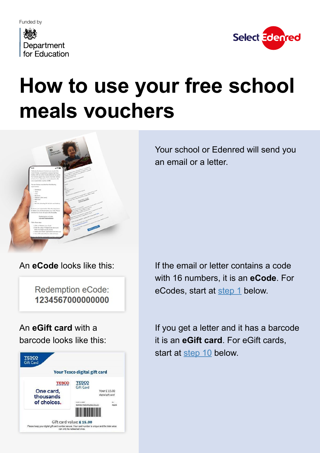



## **How to use your free school meals vouchers**



An **eCode** looks like this:

Redemption eCode: 1234567000000000

An **eGift card** with a barcode looks like this:



Your school or Edenred will send you an email or a letter.

If the email or letter contains a code with 16 numbers, it is an **eCode**. For eCodes, start at [step 1](#page-1-0) below.

If you get a letter and it has a barcode it is an **eGift card**. For eGift cards, start at [step 10](#page-3-0) below.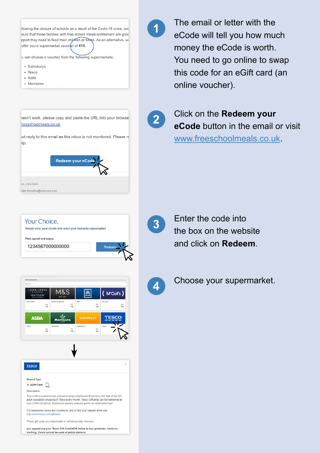<span id="page-1-0"></span>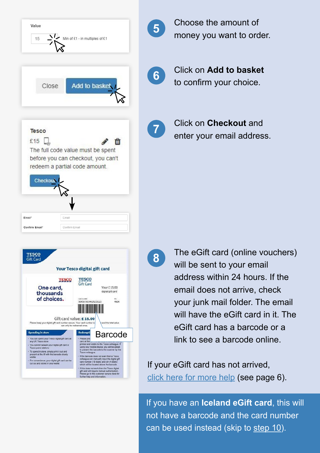| Value<br>15                                                             | Min of £1 - in multiples of £1                                                                      |
|-------------------------------------------------------------------------|-----------------------------------------------------------------------------------------------------|
| Close                                                                   | Add to basket                                                                                       |
| <b>Tesco</b><br>£15<br>redeem a partial code amount.<br><b>Checkout</b> | m<br>The full code value must be spent<br>before you can checkout, you can't                        |
| Email*<br>Email<br>Confirm Email*                                       | Confirm Email                                                                                       |
| TESCO<br>Gift Card                                                      | <b>Your Tesco digital gift card</b>                                                                 |
| <b>TESCO</b><br>One card,<br>thousands<br>of choices.                   | <b>TESCO</b><br><b>Gift Card</b><br>Your £15.00<br>digital gift card<br>5045075014429215123<br>4604 |
| Please keep your digital gift card number secure. Your card number is   | Gift card value: £15.00<br>and the total value<br>can only be redeemed once.                        |
|                                                                         |                                                                                                     |

Choose the amount of money you want to order.



**5**

Click on **Add to basket** to confirm your choice.

Click on **Checkout** and enter your email address.



The eGift card (online vouchers) will be sent to your email address within 24 hours. If the email does not arrive, check your junk mail folder. The email will have the eGift card in it. The eGift card has a barcode or a link to see a barcode online.

If your eGift card has not arrived, [click here for more help](https://www.edenred.co.uk/Documents/DfE/DfE_FreeSchoolMeals_ParentCarerFAQs.pdf) (see page 6).

If you have an **Iceland eGift card**, this will not have a barcode and the card number can be used instead (skip to [step 10](#page-3-0)).